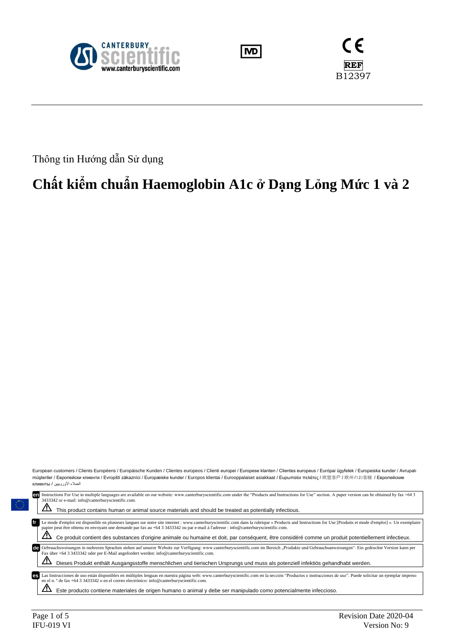





Thông tin Hướng dẫn Sử dụng

# **Chất kiểm chuẩn Haemoglobin A1c ở Dạng Lỏng Mức 1 và 2**

European customers / Clients Européens / Europäische Kunden / Clientes europeos / Clienti europei / Europese klanten / Clientes europeus / Európai ügyfelek / Europeiska kunder / Avrupalı müşteriler / Европейски клиенти / Evropští zákazníci / Europæiske kunder / Europos klientai / Eurooppalaiset asiakkaat / Еυρωπαίοι πελάτες / 欧盟客户 / 欧州のお客様 / Европейские العمالء األوروبيين / клиенты

| Instructions For Use in multiple languages are available on our website: www.canterburyscientific.com under the "Products and Instructions for Use" section. A paper version can be obtained by fax +64 3<br>en<br>3433342 or e-mail: info@canterburyscientific.com.                                                                                       |
|------------------------------------------------------------------------------------------------------------------------------------------------------------------------------------------------------------------------------------------------------------------------------------------------------------------------------------------------------------|
| This product contains human or animal source materials and should be treated as potentially infectious.                                                                                                                                                                                                                                                    |
| fr<br>Le mode d'emploi est disponible en plusieurs langues sur notre site internet : www.canterburyscientific.com dans la rubrique « Products and Instructions for Use [Produits et mode d'emploi] ». Un exemplaire<br>papier peut être obtenu en envoyant une demande par fax au +64 3 3433342 ou par e-mail à l'adresse : info@canterburyscientific.com. |
| Ce produit contient des substances d'origine animale ou humaine et doit, par conséquent, être considéré comme un produit potentiellement infectieux.                                                                                                                                                                                                       |
| Gebrauchsweisungen in mehreren Sprachen stehen auf unserer Website zur Verfügung: www.canterburyscientific.com im Bereich "Produkte und Gebrauchsanweisungen". Ein gedruckte Version kann per<br>de<br>Fax über +64 3 3433342 oder per E-Mail angefordert werden: info@canterburyscientific.com.                                                           |
| Dieses Produkt enthält Ausgangsstoffe menschlichen und tierischen Ursprungs und muss als potenziell infektiös gehandhabt werden.                                                                                                                                                                                                                           |
| Las Instrucciones de uso están disponibles en múltiples lenguas en nuestra página web: www.canterburyscientific.com en la sección "Productos e instrucciones de uso". Puede solicitar un ejemplar impreso<br>es<br>en el n.º de fax +64 3 3433342 o en el correo electrónico: info@canterburyscientific.com.                                               |
| Este producto contiene materiales de origen humano o animal y debe ser manipulado como potencialmente infeccioso.                                                                                                                                                                                                                                          |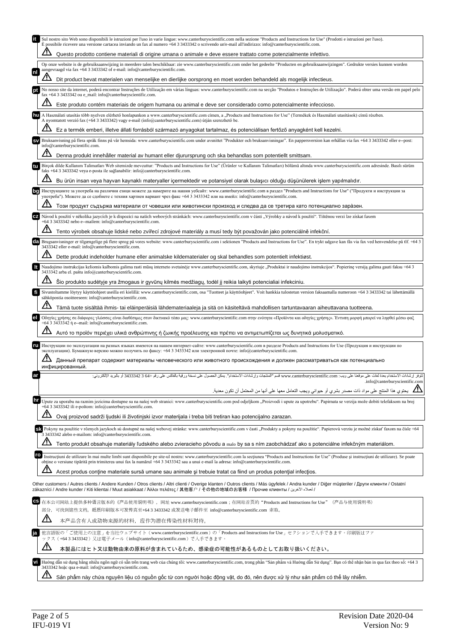|     | Sul nostro sito Web sono disponibili le istruzioni per l'uso in varie lingue: www.canterburyscientific.com nella sezione "Products and Instructions for Use" (Prodotti e istruzioni per l'uso).<br>È possibile ricevere una versione cartacea inviando un fax al numero +64 3 3433342 o scrivendo un'e-mail all'indirizzo: info@canterburyscientific.com.                                                                    |
|-----|------------------------------------------------------------------------------------------------------------------------------------------------------------------------------------------------------------------------------------------------------------------------------------------------------------------------------------------------------------------------------------------------------------------------------|
|     | Questo prodotto contiene materiali di origine umana o animale e deve essere trattato come potenzialmente infettivo.                                                                                                                                                                                                                                                                                                          |
|     | Op onze website is de gebruiksaanwijzing in meerdere talen beschikbaar: zie www.canterburyscientific.com onder het gedeelte "Producten en gebruiksaanwijzingen". Gedrukte versies kunnen worden<br>aangevraagd via fax +64 3 3433342 of e-mail: info@canterburyscientific.com.                                                                                                                                               |
|     | Dit product bevat materialen van menselijke en dierlijke oorsprong en moet worden behandeld als mogelijk infectieus.                                                                                                                                                                                                                                                                                                         |
|     | No nosso site da internet, poderá encontrar Instruções de Utilização em várias línguas: www.canterburyscientific.com na secção "Produtos e Instruções de Utilização". Poderá obter uma versão em papel pelo<br>fax +64 3 3433342 ou e_mail: info@canterburyscientific.com.                                                                                                                                                   |
|     | Este produto contém materiais de origem humana ou animal e deve ser considerado como potencialmente infeccioso.                                                                                                                                                                                                                                                                                                              |
| hu  | A Használati utasítás több nyelven elérhető honlapunkon a www.canterburyscientific.com címen, a "Products and Instructions for Use" (Termékek és Használati utasítások) című részben.<br>A nyomtatott verzió fax (+64 3 3433342) vagy e-mail (info@canterburyscientific.com) útján szerezhető be.                                                                                                                            |
|     | Ez a termék emberi, illetve állati forrásból származó anyagokat tartalmaz, és potenciálisan fertőző anyagként kell kezelni.                                                                                                                                                                                                                                                                                                  |
|     | Bruksanvisning på flera språk finns på vår hemsida: www.canterburyscientific.com under avsnittet "Produkter och bruksanvisningar". En pappersversion kan erhållas via fax +64 3 3433342 eller e--post:<br>info@canterburyscientific.com.                                                                                                                                                                                     |
|     | Denna produkt innehåller material av humant eller djurursprung och ska behandlas som potentiellt smittsam.                                                                                                                                                                                                                                                                                                                   |
|     | Birçok dilde Kullanım Talimatları Web sitemizde mevcuttur: "Products and Instructions for Use" (Urünler ve Kullanım Talimatları) bölümü altında www.canterburyscientific.com adresinde. Basılı sürüm<br>faks +64 3 3433342 veya e-posta ile sağlanabilir: info@canterburyscientific.com.                                                                                                                                     |
|     | Bu ürün insan veya hayvan kaynaklı materyaller içermektedir ve potansiyel olarak bulaşıcı olduğu düşünülerek işlem yapılmalıdır.                                                                                                                                                                                                                                                                                             |
|     | Инструкциите за употреба на различни езици можете да намерите на нашия уебсайт: www.canterburyscientific.com в раздел "Products and Instructions for Use" ("Продукти и инструкции за<br>употреба"). Можете да се сдобиете с техния хартиен вариант чрез факс +64 3 3433342 или на имейл: info@canterburyscientific.com.                                                                                                      |
|     | Този продукт съдържа материали от човешки или животински произход и следва да се третира като потенциално зара̀зен.                                                                                                                                                                                                                                                                                                          |
| CZ  | Návod k použití v několika jazycích je k dispozici na našich webových stránkách: www.canterburyscientific.com v části "Výrobky a návod k použití". Tištěnou verzi lze získat faxem<br>+64 3 3433342 nebo e--mailem: info@canterburyscientific.com.                                                                                                                                                                           |
|     | Tento výrobek obsahuje lidské nebo zvířecí zdrojové materiály a musí tedy být považován jako potenciálně infekční.                                                                                                                                                                                                                                                                                                           |
| dal | Brugsanvisninger er tilgængelige på flere sprog på vores website: www.canterburyscientific.com i sektionen "Products and Instructions for Use". En trykt udgave kan fås via fax ved henvendelse på tlf. +64 3<br>3433342 eller e-mail: info@canterburyscientific.com.                                                                                                                                                        |
|     | Dette produkt indeholder humane eller animalske kildematerialer og skal behandles som potentielt infektiøst.                                                                                                                                                                                                                                                                                                                 |
|     | Naudojimo instrukcijas keliomis kalbomis galima rasti mūsų interneto svetainėje www.canterburyscientific.com, skyriuje "Produktai ir naudojimo instrukcijos". Popierinę versiją galima gauti faksu +64 3<br>3433342 arba el. paštu info@canterburyscientific.com.                                                                                                                                                            |
|     | Šio produkto sudėtyje yra žmogaus ir gyvūnų kilmės medžiagų, todėl jį reikia laikyti potencialiai infekciniu.                                                                                                                                                                                                                                                                                                                |
|     | Sivustoltamme löytyy käyttöohjeet useilla eri kielillä: www.canterburyscientific.com, osa "Tuotteet ja käyttöohjeet". Voit hankkia tulostetun version faksaamalla numeroon +64 3 3433342 tai lähettämällä<br>sähköpostia osoitteeseen: info@canterburyscientific.com.                                                                                                                                                        |
|     | Tämä tuote sisältää ihmis- tai eläinperäisiä lähdemateriaaleja ja sitä on käsiteltävä mahdollisen tartuntavaaran aiheuttavana tuotteena.                                                                                                                                                                                                                                                                                     |
|     | Οδηγίες χρήσης σε διάφορες γλώσσες είναι διαθέσιμες στον δικτυακό τόπο μας: www.canterburyscientific.com στην ενότητα «Προϊόντα και οδηγίες χρήσης». Έντυπη μορφή μπορεί να ληφθεί μέσω φαξ<br>+64 3 3433342 ή e--mail: info@canterburyscientific.com.                                                                                                                                                                       |
|     | Αυτό το προϊόν περιέχει υλικά ανθρώπινης ή ζωικής προέλευσης και πρέπει να αντιμετωπίζεται ως δυνητικά μολυσματικό.                                                                                                                                                                                                                                                                                                          |
|     | Инструкции по эксплуатации на разных языках имеются на нашем интернет-сайте: www.canterburyscientific.com в разделе Products and Instructions for Use (Продукция и инструкции по<br>эксплуатации). Бумажную версию можно получить по факсу: +64 3 3433342 или электронной почте: info@canterburyscientific.com.                                                                                                              |
|     | Данный препарат содержит материалы человеческого или животного происхождения и должен рассматриваться как потенциально<br>инфицированный.                                                                                                                                                                                                                                                                                    |
|     | +3433342 3 64 أو بالبريد الإلكتر<br>موقعنا على ويب: www.canterburyscientific.com قسم "المنتجات وإرشادات الاستخدام". يمكن الحصول على نس<br>تتوفر ارشادات الاستخدام بعدة لغات                                                                                                                                                                                                                                                  |
|     | .info@canterburyscientific.com<br>مي التحتوي هذا المنتج على مواد ذات مصدر بشري أو حيواني ويجب التعامل معها على أنها من المحتمل أن تكون معدية <sub>.</sub>                                                                                                                                                                                                                                                                    |
| hr  | Upute za uporabu na raznim jezicima dostupne su na našoj web stranici: www.canterburyscientific.com pod odjeljkom "Proizvodi i upute za upotrebu". Papirnata se verzija može dobiti telefaksom na broj                                                                                                                                                                                                                       |
|     | +64 3 3433342 ili e-poštom: info@canterburyscientific.com.                                                                                                                                                                                                                                                                                                                                                                   |
|     | Ovaj proizvod sadrži ljudski ili životinjski izvor materijala i treba biti tretiran kao potencijalno zarazan.                                                                                                                                                                                                                                                                                                                |
|     | SA Pokyny na použitie v rôznych jazykoch sú dostupné na našej webovej stránke: www.canterburyscientific.com v časti "Produkty a pokyny na použitie". Papierovú verziu je možné získať faxom na čísle +64<br>3 3433342 alebo e-mailom: info@canterburyscientific.com.                                                                                                                                                         |
|     | Tento produkt obsahuje materiály ľudského alebo zvieracieho pôvodu a malo by sa s ním zaobchádzať ako s potenciálne infekčným materiálom.                                                                                                                                                                                                                                                                                    |
| ro  | Instructiuni de utilizare în mai multe limbi sunt disponibile pe site-ul nostru: www.canterburyscientific.com la sectiunea "Products and Instructions for Use" (Produse si instructiuni de utilizare). Se poate<br>obtine o versiune tipărită prin trimiterea unui fax la numărul +64 3 3433342 sau a unui e-mail la adresa: info@canterburyscientific.com.                                                                  |
|     | Acest produs contine materiale sursă umane sau animale și trebuie tratat ca fiind un produs potențial infecțios.                                                                                                                                                                                                                                                                                                             |
|     | Other customers / Autres clients / Andere Kunden / Otros clients / Altri clienti / Overige klanten / Outros clients / Más ügyfelek / Andra kunder / Diğer müşteriler / Други клиенти / Ostatní<br>zákazníci / Andre kunder / Kiti klientai / Muut asiakkaat / Άλλοι πελάτες / 其他客户 / その他の地域のお客様 / Прочие клиенты / كملاء الأخرين / zákazníci / Andre kunder / Kiti klientai / Muut asiakkaat / Άλλοι πελάτες / 其他客户 / その他の地域 |
| СS  | 在本公司网站上提供多种语言版本的《产品使用说明书》, 网址 www.canterburyscientific.com; 在网站首页的"Products and Instructions for Use" (产品与使用说明书)                                                                                                                                                                                                                                                                                                             |
|     | 部分, 可找到这些文档。纸质印刷版本可发传真至+64 3 3433342 或发送电子邮件至 info@canterburyscientific.com 索取。                                                                                                                                                                                                                                                                                                                                              |
|     | 本产品含有人或动物来源的材料,应作为潜在传染性材料对待。                                                                                                                                                                                                                                                                                                                                                                                                 |
|     | 他言語版の「ご使用上の注意」を当社ウェブサイト(www.canterburyscientific.com)の「Products and Instructions for Use」セクションで入手できます。印刷版はファ<br>ックス(+64 3 3433342)又は電子メール(info@canterburyscientific.com)で入手できます。                                                                                                                                                                                                                                             |
|     | 本製品にはヒト又は動物由来の原料が含まれているため、感染症の可能性があるものとしてお取り扱いください。                                                                                                                                                                                                                                                                                                                                                                          |
| vi  | Hướng dẫn sử dụng bằng nhiều ngôn ngữ có sẵn trên trang web của chúng tôi: www.canterburyscientific.com, trong phần "Sản phẩm và Hướng dẫn Sử dụng". Bạn có thể nhận bản in qua fax theo số: +64 3<br>3433342 hoặc qua e-mail: info@canterburyscientific.com.                                                                                                                                                                |
|     | Sản phẩm này chứa nguyên liệu có nguồn gốc từ con người hoặc động vật, do đó, nên được xử lý như sản phẩm có thể lây nhiễm.                                                                                                                                                                                                                                                                                                  |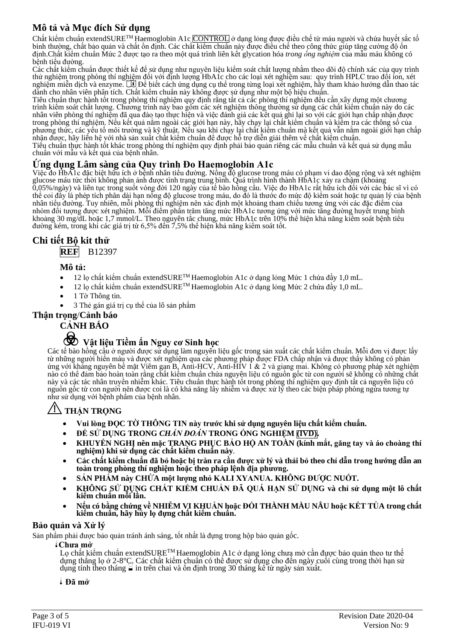## **Mô tả và Mục đích Sử dụng**

Chất kiểm chuẩn extendSURE<sup>TM</sup> Haemoglobin A1c CONTROL ở dạng lỏng được điều chế từ máu người và chứa huyết sắc tố bình thường, chất bảo quản và chất ổn định. Các chất kiểm chuẩn này được điều chế theo công thức giúp tăng cường độ ổn định.Chất kiểm chuẩn Mức 2 được tạo ra theo một quá trình liên kết glycation hóa *trong ống nghiệm* của mẫu máu không có bệnh tiểu đường.

Các chất kiểm chuẩn được thiết kế để sử dụng như nguyên liệu kiểm soát chất lượng nhằm theo dõi độ chính xác của quy trình thử nghiệm trong phòng thí nghiệm đối với định lượng HbA1c cho các loại xét nghiệm sau: quy trình HPLC trao đổi ion, xét nghiệm miễn dịch và enzyme. UI Đề biết cách ứng dụng cụ thể trong từng loại xét nghiệm, hãy tham khảo hướng dẫn thao tác dành cho nhân viên phân tích. Chất kiểm chuẩn này không được sử dụng như một bộ hiệu chuẩn.

Tiêu chuẩn thực hành tốt trong phòng thí nghiệm quy định rằng tất cả các phòng thí nghiệm đều cần xây dựng một chương trình kiểm soát chất lượng. Chương trình này bao gồm các xét nghiệm thông thường sử dụng các chất kiểm chuẩn này do các nhân viên phòng thí nghiệm đã qua đào tạo thực hiện và việc đánh giá các kết quả ghi lại so với các giới hạn chấp nhận được trong phòng thí nghiệm. Nếu kết quả nằm ngoài các giới hạn này, hãy chạy lại chất kiểm chuẩn và kiểm tra các thông số của phương thức, các yếu tố môi trường và kỹ thuật. Nếu sau khi chạy lại chất kiểm chuẩn mà kết quả vẫn nằm ngoài giới hạn chấp nhận được, hãy liên hệ với nhà sản xuất chất kiểm chuẩn để được hỗ trợ diễn giải thêm về chất kiểm chuẩn.

Tiêu chuẩn thực hành tốt khác trong phòng thí nghiệm quy định phải bảo quản riêng các mẫu chuẩn và kết quả sử dụng mẫu chuẩn với mẫu và kết quả của bệnh nhân.

## **Ứng dụng Lâm sàng của Quy trình Đo Haemoglobin A1c**

Việc đo HbA1c đặc biệt hữu ích ở bệnh nhân tiểu đường. Nồng độ glucose trong máu có phạm vi dao động rộng và xét nghiệm glucose máu tức thời không phản ánh được tình trạng trung bình. Quá trình hình thành HbA1c xảy ra chậm (khoảng 0,05%/ngày) và liên tục trong suốt vòng đời 120 ngày của tế bào hồng cầu. Việc đo HbA1c rất hữu ích đối với các bác sĩ vì có thể coi đây là phép tích phân dài hạn nồng độ glucose trong máu, do đó là thước đo mức độ kiểm soát hoặc tự quản lý của bệnh nhân tiểu đường. Tuy nhiên, mỗi phòng thí nghiệm nên xác định một khoảng tham chiếu tương ứng với các đặc điểm của nhóm đối tượng được xét nghiệm. Mỗi điểm phần trăm tăng mức HbA1c tương ứng với mức tăng đường huyết trung bình khoảng 30 mg/dL hoặc 1,7 mmol/L. Theo nguyên tắc chung, mức HbA1c trên 10% thể hiện khả năng kiểm soát bệnh tiểu đường kém, trong khi các giá trị từ 6,5% đến 7,5% thể hiện khả năng kiểm soát tốt.

## **Chi tiết Bộ kit thử**

**REF** B12397

## **Mô tả:**

- 12 lọ chất kiểm chuẩn extendSURE<sup>TM</sup> Haemoglobin A1c ở dạng lỏng Mức 1 chứa đầy 1,0 mL.
- 12 lọ chất kiểm chuẩn extendSURETM Haemoglobin A1c ở dạng lỏng Mức 2 chứa đầy 1,0 mL.
- 1 Tờ Thông tin.
	- 3 Thẻ gán giá trị cụ thể của lô sản phẩm

## **Thận trọng**/**Cảnh báo**

## **CẢNH BÁO**

## F **Vật liệu Tiềm ẩn Nguy cơ Sinh học**

Các tế bào hồng cầu ở người được sử dụng làm nguyên liệu gốc trong sản xuất các chất kiểm chuẩn. Mỗi đơn vị được lấy từ những người hiến máu và được xét nghiệm qua các phương pháp được FDA chấp nhận và được thấy không có phản ứng với kháng nguyên bề mặt Viêm gan B, Anti-HCV, Anti-HIV 1 & 2 và giang mai. Không có phương pháp xét nghiệm nào có thể đảm bảo hoàn toàn rằng chất kiểm chuẩn chứa nguyên liệu có nguồn gốc từ con người sẽ không có những chất này và các tác nhân truyền nhiễm khác. Tiêu chuẩn thực hành tốt trong phòng thí nghiệm quy định tất cả nguyên liệu có nguồn gốc từ con người nên được coi là có khả năng lây nhiễm và được xử lý theo các biện pháp phòng ngừa tương tự như sử dụng với bệnh phẩm của bệnh nhân.

## Y**THẬN TRỌNG**

- **Vui lòng ĐỌC TỜ THÔNG TIN này trước khi sử dụng nguyên liệu chất kiểm chuẩn.**
- **ĐỂ SỬ DỤNG TRONG** *CHẨN ĐOÁN* **TRONG ỐNG NGHIỆM (IVD).**
- **KHUYẾN NGHỊ nên mặc TRANG PHỤC BẢO HỘ AN TOÀN (kính mắt, găng tay và áo choàng thí nghiệm) khi sử dụng các chất kiểm chuẩn này***.*
- **Các chất kiểm chuẩn đã bỏ hoặc bị tràn ra cần được xử lý và thải bỏ theo chỉ dẫn trong hướng dẫn an toàn trong phòng thí nghiệm hoặc theo pháp lệnh địa phương.**
- **SẢN PHẨM này CHỨA một lượng nhỏ KALI XYANUA. KHÔNG ĐƯỢC NUỐT.**
- **KHÔNG SỬ DỤNG CHẤT KIỂM CHUẨN ĐÃ QUÁ HẠN SỬ DỤNG và chỉ sử dụng một lô chất kiểm chuẩn mỗi lần.**
- **Nếu có bằng chứng về NHIỄM VI KHUẨN hoặc ĐỔI THÀNH MÀU NÂU hoặc KẾT TỦA trong chất kiểm chuẩn, hãy hủy lọ đựng chất kiểm chuẩn.**

## **Bảo quản và Xử lý**

Sản phẩm phải được bảo quản tránh ánh sáng, tốt nhất là đựng trong hộp bảo quản gốc.

## l**Chưa mở**

Lọ chất kiểm chuẩn extendSURE<sup>TM</sup> Haemoglobin A1c ở dạng lỏng chưa mở cần được bảo quản theo tư thế dựng thẳng lọ ở 2-8°C. Các chất kiểm chuẩn có thể được sử dụng cho đến ngày cuối cùng trong thời hạn sử dụng tính theo tháng  $\leq$  in trên chai và ôn định trong 30 tháng kể từ ngày sản xuất.

## l **Đã mở**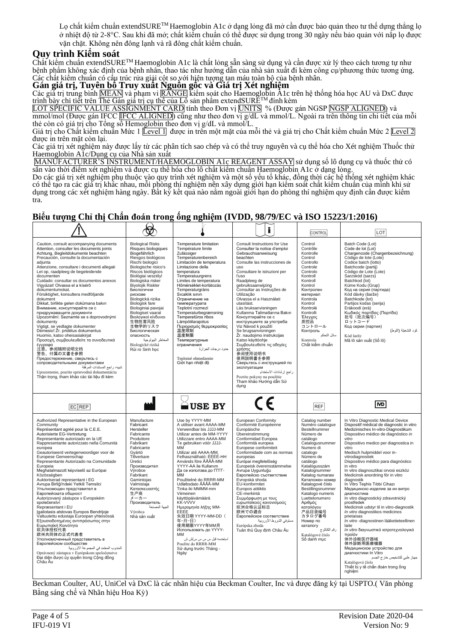Lọ chất kiểm chuẩn extendSURETM Haemoglobin A1c ở dạng lỏng đã mở cần được bảo quản theo tư thế dựng thẳng lọ ở nhiệt độ từ 2-8°C. Sau khi đã mở; chất kiểm chuẩn có thể được sử dụng trong 30 ngày nếu bảo quản với nắp lọ được vặn chặt. Không nên đông lạnh và rã đông chất kiểm chuẩn.

## **Quy trình Kiểm soát**

Chất kiểm chuẩn extendSURETM Haemoglobin A1c là chất lỏng sẵn sàng sử dụng và cần được xử lý theo cách tương tự như bệnh phẩm không xác định của bệnh nhân, thao tác như hướng dẫn của nhà sản xuất đi kèm công cụ/phương thức tương ứng. Các chất kiểm chuẩn có cấu trúc rửa giải cột so với hiện tượng tan máu toàn bộ của bệnh nhân.

## **Gán giá trị, Tuyên bố Truy xuất Nguồn gốc và Giá trị Xét nghiệm**

Các giá trị trung bình <u>MEAN</u> và phạm vi <u>RANGE</u> kiêm soát cho Haemoglobin A1c trên hệ thông hóa học AU và DxC được trình bày chi tiết trên Thẻ Gán giá trị cụ thể của Lô sản phẩm extend $\text{SURE}^{\text{TM}}$ đính kèm

LOT SPECIFIC VALUE ASSIGNMENT CARD tính theo Đơn vị <mark>UNITS</mark> % (Được gán NGSP <u>NGSP ALIGNED)</u> và

mmol/mol (Được gán IFCC IFCC ALIGNED) cũng như theo đơn vị g/dL và mmol/L. Ngoài ra trên thông tin chi tiết của mỗi thẻ còn có giá trị cho Tông số Hemo<u>globin t</u>heo đơn vị g/dL và mmol/L.

Giá trị cho Chât kiêm chuân Mức 1 <u>[Level 1</u>] được in trên một mặt của mỗi thẻ và giá trị cho Chât kiêm chuân Mức 2 [<u>Level 2</u> được in trên mặt còn lại.

Các giá trị xét nghiệm này được lấy từ các phân tích sao chép và có thể truy nguyên và cụ thể hóa cho Xét nghiệm Thuốc thử Haemoglobin A1c/Dụng cụ của Nhà sản xuất

MANUFACTURER'S INSTRUMENT/HAEMOGLOBIN A1c REAGENT ASSAY sử dụng số lô dụng cụ và thuốc thử có sẵn vào thời điểm xét nghiệm và được cụ thể hóa cho lô chất kiểm chuẩn Haemoglobin A1c ở dạng lỏng.

Do các giá trị xét nghiệm phụ thuộc vào quy trình xét nghiệm và một số yếu tố khác, đồng thời các hệ thống xét nghiệm khác có thể tạo ra các giá trị khác nhau, mỗi phòng thí nghiệm nên xây dựng giới hạn kiểm soát chất kiểm chuẩn của mình khi sử dụng trong các xét nghiệm hàng ngày. Bất kỳ kết quả nào nằm ngoài giới hạn do phòng thí nghiệm quy định cần được kiểm tra.

| Biểu tượng Chỉ thị Chẩn đoán trong ống nghiệm (IVDD, 98/79/EC và ISO 15223/1:2016)                                                                                                                                                                                                                                                                                                                                                                                                                                                                                                                                                                                                                                                                                                                                                                                                                                                                                                                      |                                                                                                                                                                                                                                                                                                                                                                                                                                                                                   |                                                                                                                                                                                                                                                                                                                                                                                                                                                                                                                                                                                                                                          |                                                                                                                                                                                                                                                                                                                                                                                                                                                                                                                                                                                                                                                                                                                             |                                                                                                                                                                                                                                                                                                                                                                                                              |                                                                                                                                                                                                                                                                                                                                                                                                                                                                                                                                                                                                                                                                                                                                                                                                                                                                                                      |  |  |  |
|---------------------------------------------------------------------------------------------------------------------------------------------------------------------------------------------------------------------------------------------------------------------------------------------------------------------------------------------------------------------------------------------------------------------------------------------------------------------------------------------------------------------------------------------------------------------------------------------------------------------------------------------------------------------------------------------------------------------------------------------------------------------------------------------------------------------------------------------------------------------------------------------------------------------------------------------------------------------------------------------------------|-----------------------------------------------------------------------------------------------------------------------------------------------------------------------------------------------------------------------------------------------------------------------------------------------------------------------------------------------------------------------------------------------------------------------------------------------------------------------------------|------------------------------------------------------------------------------------------------------------------------------------------------------------------------------------------------------------------------------------------------------------------------------------------------------------------------------------------------------------------------------------------------------------------------------------------------------------------------------------------------------------------------------------------------------------------------------------------------------------------------------------------|-----------------------------------------------------------------------------------------------------------------------------------------------------------------------------------------------------------------------------------------------------------------------------------------------------------------------------------------------------------------------------------------------------------------------------------------------------------------------------------------------------------------------------------------------------------------------------------------------------------------------------------------------------------------------------------------------------------------------------|--------------------------------------------------------------------------------------------------------------------------------------------------------------------------------------------------------------------------------------------------------------------------------------------------------------------------------------------------------------------------------------------------------------|------------------------------------------------------------------------------------------------------------------------------------------------------------------------------------------------------------------------------------------------------------------------------------------------------------------------------------------------------------------------------------------------------------------------------------------------------------------------------------------------------------------------------------------------------------------------------------------------------------------------------------------------------------------------------------------------------------------------------------------------------------------------------------------------------------------------------------------------------------------------------------------------------|--|--|--|
|                                                                                                                                                                                                                                                                                                                                                                                                                                                                                                                                                                                                                                                                                                                                                                                                                                                                                                                                                                                                         | ₩                                                                                                                                                                                                                                                                                                                                                                                                                                                                                 |                                                                                                                                                                                                                                                                                                                                                                                                                                                                                                                                                                                                                                          | i                                                                                                                                                                                                                                                                                                                                                                                                                                                                                                                                                                                                                                                                                                                           | CONTROL                                                                                                                                                                                                                                                                                                                                                                                                      | LOT                                                                                                                                                                                                                                                                                                                                                                                                                                                                                                                                                                                                                                                                                                                                                                                                                                                                                                  |  |  |  |
| Caution, consult accompanying documents<br>Attention, consulter les documents joints<br>Achtung, Begleitdokumente beachten<br>Precaución, consulte la documentación<br>adjunta<br>Attenzione, consultare i documenti allegati<br>Let op, raadpleeg de begeleidende<br>documenten<br>Cuidado: consultar os documentos anexos<br>Vigyázat! Olvassa el a kísérő<br>dokumentumokat.<br>Försiktighet, konsultera medföljande<br>dokument<br>Dikkat, birlikte gelen dokümana bakın<br>Внимание, консултирайте се с<br>придружаващите документи<br>Upozornění: Seznamte se s doprovodnými<br>dokumenty<br>Vigtigt, se vedlagte dokumenter<br>Dėmesio! Žr. pridėtus dokumentus<br>Huomio, katso oheisasiakirjat<br>Προσοχή, συμβουλευθείτε τα συνοδευτικά<br>έγγραφα<br>注意, 参阅随附说明文档<br>警告、付属の文書を参照<br>Предостережение, сверьтесь с<br>сопроводительными документами<br>تتبيه، راجع المستندات المرفِّقة<br>Upozornenie, pozrite sprievodnú dokumentáciu<br>Thân trong, tham khảo các tài liêu đi kèm            | <b>Biological Risks</b><br>Risques biologiques<br>Biogefährlich<br>Riesgos biológicos<br>Rischi biologici<br>Biologische risico's<br>Riscos biológicos<br>Biológiai veszély!<br>Biologiska risker<br><b>Biyolojik Riskler</b><br>Биологични<br>рискове<br>Biologická rizika<br>Biologisk fare<br>Biologiniai pavojai<br>Biologiset vaarat<br>Βιολογικοί κίνδυνοι<br>生物危害风险<br>生物学的リスク<br>Биологическая<br>опасность<br>المخاطر البيولوجية<br>Biologické riziká<br>Rủi ro Sinh học | Temperature limitation<br>Température limite<br>Zulässiger<br>Temperaturenbereich<br>Limitación de temperatura<br>Limitazione della<br>temperatura<br>Temperatuurgrens<br>Limites de temperatura<br>Hőmérséklet-korlátozás<br>Temperaturgräns<br>Sıcaklık sınırı<br>Ограничение на<br>температурата<br>Teplotní rozmezí<br>Temperaturbegrænsning<br>Temperatūros ribos<br>Lämpötilarajoitus<br>Περιορισμός θερμοκρασίας<br>温度限制<br>温度制限<br>Температурные<br>ограничения<br>حدود درجات الحرارة<br>Teplotné obmedzenie<br>Giới han nhiệt đô                                                                                                | Consult Instructions for Use<br>Consulter la notice d'emploi<br>Gebrauchsanweisung<br>beachten<br>Consulte las instrucciones de<br>uso<br>Consultare le istruzioni per<br>l'uso<br>Raadpleeg de<br>gebruiksaanwijzing<br>Consultar as Instruções de<br>Utilização<br>Olvassa el a Használati<br>utasítást.<br>Läs bruksanvisningen<br>Kullanma Talimatlarına Bakın<br>Консултирайте се с<br>инструкциите за употреба<br>Viz Návod k použití<br>Se brugsanvisningen<br>Žr. naudojimo instrukcijas<br>Katso käyttöohje<br>Συμβουλευθείτε τις οδηγίες<br>χρήσης<br>参阅使用说明书<br>使用説明書を参照<br>Сверьтесь с инструкцией по<br>эксплуатации<br>راجع إرشادات الاستخدام<br>Pozrite pokyny na použitie<br>Tham khảo Hướng dẫn Sử<br>dung | Control<br>Contrôle<br>Kontrolle<br>Control<br>Controllo<br>Controle<br>Controlo<br>Kontroll<br>Kontroll<br>Kontrol<br>Контролен<br>материал<br>Kontrola<br>Kontrol<br>Kontrolė<br>Kontrolli<br>Έλεγχος<br>质控品<br>コントロール<br>Контроль<br>سائل التحكم<br>Kontrola<br>Chất kiểm chuẩn                                                                                                                           | Batch Code (Lot)<br>Code de lot (Lot)<br>Chargencode (Chargenbezeichnung)<br>Código de lote (Lote)<br>Codice batch (lotto)<br>Batchcode (partij)<br>Código de Lote (Lote)<br>Sarzskód (sarzs)<br>Batchkod (lot)<br>Küme Kodu (Grup)<br>Код на серия (партида)<br>Kód dávky (šarže)<br>Batchkode (lot)<br>Partijos kodas (serija)<br>Eräkoodi (erä)<br>Κωδικός παρτίδας (Παρτίδα)<br>批号 (批次编号)<br>ロットコード<br>Код серии (партия)<br>كود التشغيلة (اللوط)<br>Kód šarže<br>Mã lô sản xuất (Số lô)                                                                                                                                                                                                                                                                                                                                                                                                         |  |  |  |
| EC REP                                                                                                                                                                                                                                                                                                                                                                                                                                                                                                                                                                                                                                                                                                                                                                                                                                                                                                                                                                                                  |                                                                                                                                                                                                                                                                                                                                                                                                                                                                                   | ≙USE BY                                                                                                                                                                                                                                                                                                                                                                                                                                                                                                                                                                                                                                  |                                                                                                                                                                                                                                                                                                                                                                                                                                                                                                                                                                                                                                                                                                                             | <b>REF</b>                                                                                                                                                                                                                                                                                                                                                                                                   | <b>ND</b>                                                                                                                                                                                                                                                                                                                                                                                                                                                                                                                                                                                                                                                                                                                                                                                                                                                                                            |  |  |  |
| Authorized Representative in the European<br>Community<br>Représentant agréé pour la C.E.E.<br>Autorisierte EG-Vertretung<br>Representante autorizado en la UE<br>Rappresentante autorizzato nella Comunità<br>europea<br>Geautoriseerd vertegenwoordiger voor de<br>Europese Gemeenschap<br>Representante Autorizado na Comunidade<br>Europeia<br>Meghatalmazott képviselő az Európai<br>Közösségben<br>Auktoriserad representant i EG<br>Avrupa Birliği'ndeki Yetkili Temsilci<br>Упълномощен представител в<br>Европейската общност<br>Autorizovaný zástupce v Evropském<br>společenství<br>Repræsentant i EU<br>Igaliotasis atstovas Europos Bendrijoje<br>Valtuutettu edustaja Euroopan yhteisössä<br>Εξουσιοδοτημένος αντιπρόσωπος στην<br>Ευρωπαϊκή Κοινότητα<br>欧共体授权代表<br>欧州共同体の正式代表者<br>Уполномоченный представитель в<br>Европейском сообществе<br>المندوب المعتمد في المجموعة الأوروبية<br>Oprávnený zástupca v Európskom spoločenstve<br>Đại diện được ủy quyền trong Cộng đồng<br>Châu Âu | Manufacture<br>Fabricant<br>Hersteller<br>Fabricante<br>Produttore<br>Fabrikant<br>Fabricante<br>Gyártó<br>Tillverkare<br>Üretici<br>Производител<br>Výrobce<br>Fabrikant<br>Gamintojas<br>Valmistaja<br>Κατασκευαστής<br>生产商<br>メーカ<br>Производитель<br>الجهة المصنعة<br>Výrobca<br>Nhà sản xuất                                                                                                                                                                                 | Use by YYYY-MM<br>A utiliser avant AAAA-MM<br>Verwendbar bis JJJJ-MM<br>Utilizar antes de MM-YYYY<br>Utilizzare entro AAAA-MM<br>Te gebruiken vóór JJJJ-<br><b>MM</b><br>Utilizar até AAAA-MM.<br>Felhasználható: ÉÉÉÉ-HH<br>Används före ÅÅÅÅ-MM<br>YYYY-AA ile Kullanım<br>Да се използва до ГГГГ-<br>MM<br>Použitelné do RRRR-MM<br>Udløbsdato ÅÅÅÅ-MM<br>Tinka iki MMMM-mm<br>Viimeinen<br>käyttöpäivämäärä<br><b>KK-VVVV</b><br>Ημερομηνία λήξης ΜΜ-<br>EEEE<br>失效日期 YYYY-MM-DD (<br>年-月-日)<br>使用期限YYYY年MM月<br>Использовать до ҮҮҮҮ-<br><b>MM</b><br>استخدمه قبل س س س س/ش ش<br>Použite do RRRR-MM<br>Sử dụng trước Tháng -<br>Ngày | European Conformity<br>Conformité Européenne<br>Europäische<br>Übereinstimmung<br>Conformidad Europea<br>Conformità europea<br>Europese conformiteit<br>Conformidade com as normas<br>europeias<br>Európai megfelelőség<br>Europeisk överensstämmelse<br>Avrupa Uygunluğu<br>Европейско съответствие<br>Evropská shoda<br>EU-konformitet<br>Europos atitiktis<br>CE-merkintä<br>Συμμόρφωση με τους<br>ευρωπαϊκούς κανονισμούς<br>欧洲合格认证标志<br>欧州での適合<br>Европейское соответствие<br>مستوفى الشروط الأوروبية<br>Európska zhoda<br>Tuân thủ Quy định Châu Âu                                                                                                                                                                   | Catalog number<br>Numéro cataloque<br>Bestellnummer<br>Número de<br>catálogo<br>Catalogusnummer<br>Numero di<br>catalogo<br>Número de<br>catálogo<br>Katalógusszám<br>Katalognummer<br>Katalog numarası<br>Каталожен номер<br>Katalogové číslo<br>Bestillingsnummer<br>Katalogo numeris<br>Luettelonumero<br>Αριθμός<br>καταλόγου<br>Номер по<br>каталогу<br>رقم الكتالوج<br>Katalógové číslo<br>Số danh mục | In Vitro Diagnostic Medical Device<br>Dispositif médical de diagnostic in vitro<br>Medizinisches In-vitro-Diagnostikum<br>Dispositivo médico de diagnóstico in<br>vitro<br>Dispositivo medico per diagnostica in<br>vitro<br>Medisch hulpmiddel voor in-<br>vitrodiagnostiek<br>Dispositivo médico para diagnóstico<br>in vitro<br>In vitro diagnosztikai orvosi eszköz<br>Medicinsk anordning för in vitro<br>diagnostik<br>In Vitro Teshis Tibbi Cihazı<br>Медицинско изделие за ин витро<br>диагностика<br>In vitro diagnostický zdravotnický<br>prostředek<br>Medicinsk udstyr til in vitro-diagnostik<br>In vitro diagnostikos medicinos<br>prietaisas<br>In vitro-diagnostinen lääketieteellinen<br>laite<br>In vitro διαγνωστικό ιατροτεχνολογικό<br>προϊόν<br>体外诊断医疗器械<br>体外診断用医療機器<br>Медицинское устройство для<br>диагностики In Vitro<br>جهاز طبي للتشخيص خارج الجسم<br>Katalógové číslo |  |  |  |

Beckman Coulter, AU, UniCel và DxC là các nhãn hiệu của Beckman Coulter, Inc và được đăng ký tại USPTO.( Văn phòng Bằng sáng chế và Nhãn hiệu Hoa Kỳ)